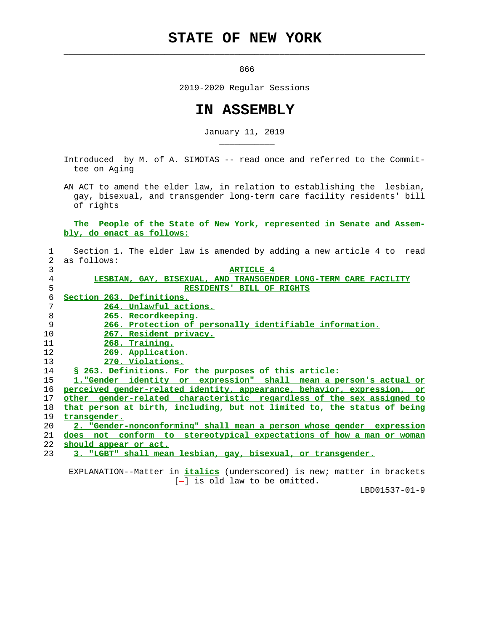## **STATE OF NEW YORK**

 $\mathcal{L}_\text{max} = \frac{1}{2} \sum_{i=1}^{n} \frac{1}{2} \sum_{i=1}^{n} \frac{1}{2} \sum_{i=1}^{n} \frac{1}{2} \sum_{i=1}^{n} \frac{1}{2} \sum_{i=1}^{n} \frac{1}{2} \sum_{i=1}^{n} \frac{1}{2} \sum_{i=1}^{n} \frac{1}{2} \sum_{i=1}^{n} \frac{1}{2} \sum_{i=1}^{n} \frac{1}{2} \sum_{i=1}^{n} \frac{1}{2} \sum_{i=1}^{n} \frac{1}{2} \sum_{i=1}^{n} \frac{1$ 

\_\_\_\_\_\_\_\_\_\_\_

<u>866 - Paris Alexander e Statistica e Statistica e Statistica e Statistica e Statistica e Statistica e Statist</u>

2019-2020 Regular Sessions

## **IN ASSEMBLY**

January 11, 2019

 Introduced by M. of A. SIMOTAS -- read once and referred to the Commit tee on Aging

 AN ACT to amend the elder law, in relation to establishing the lesbian, gay, bisexual, and transgender long-term care facility residents' bill of rights

 **The People of the State of New York, represented in Senate and Assem bly, do enact as follows:**

 1 Section 1. The elder law is amended by adding a new article 4 to read 2 as follows: 3 **ARTICLE 4**

| J  | ARIICUB I                                                                  |
|----|----------------------------------------------------------------------------|
| 4  | LESBIAN, GAY, BISEXUAL, AND TRANSGENDER LONG-TERM CARE FACILITY            |
| 5  | RESIDENTS' BILL OF RIGHTS                                                  |
| 6  | Section 263. Definitions.                                                  |
|    | 264. Unlawful actions.                                                     |
| 8  | 265. Recordkeeping.                                                        |
| 9  | 266. Protection of personally identifiable information.                    |
| 10 | 267. Resident privacy.                                                     |
| 11 | 268. Training.                                                             |
| 12 | 269. Application.                                                          |
| 13 | 270. Violations.                                                           |
| 14 | \$ 263. Definitions. For the purposes of this article:                     |
| 15 | 1. "Gender identity or expression"<br>shall mean a person's actual or      |
| 16 | perceived gender-related identity, appearance, behavior, expression,<br>or |
| 17 | other gender-related characteristic regardless of the sex assigned to      |
| 18 | that person at birth, including, but not limited to, the status of being   |
| 19 | transgender.                                                               |
| 20 | 2. "Gender-nonconforming" shall mean a person whose gender expression      |
| 21 | does not conform to stereotypical expectations of how a man or woman       |
| 22 | should appear or act.                                                      |
| 23 | 3. "LGBT" shall mean lesbian, gay, bisexual, or transgender.               |
|    |                                                                            |

 EXPLANATION--Matter in **italics** (underscored) is new; matter in brackets  $[-]$  is old law to be omitted.

LBD01537-01-9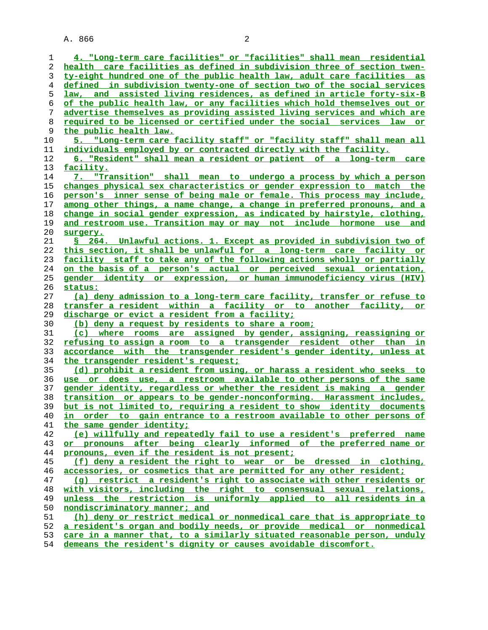A. 866 2

| 1  | 4. "Long-term care facilities" or "facilities" shall mean residential     |
|----|---------------------------------------------------------------------------|
| 2  | health care facilities as defined in subdivision three of section twen-   |
| 3  | ty-eight hundred one of the public health law, adult care facilities as   |
| 4  | defined in subdivision twenty-one of section two of the social services   |
| 5  | law, and assisted living residences, as defined in article forty-six-B    |
| 6  | of the public health law, or any facilities which hold themselves out or  |
| 7  | advertise themselves as providing assisted living services and which are  |
| 8  | required to be licensed or certified under the social services law or     |
| 9  | the public health law.                                                    |
| 10 | 5. "Long-term care facility staff" or "facility staff" shall mean all     |
| 11 | individuals employed by or contracted directly with the facility.         |
| 12 | 6. "Resident" shall mean a resident or patient of a long-term care        |
| 13 | facility.                                                                 |
| 14 | 7. "Transition" shall mean to undergo a process by which a person         |
| 15 | changes physical sex characteristics or gender expression to match the    |
| 16 | person's inner sense of being male or female. This process may include,   |
| 17 | among other things, a name change, a change in preferred pronouns, and a  |
| 18 | change in social gender expression, as indicated by hairstyle, clothing,  |
| 19 | and restroom use. Transition may or may not include hormone use and       |
| 20 | surgery.                                                                  |
| 21 | S 264. Unlawful actions. 1. Except as provided in subdivision two of      |
| 22 | this section, it shall be unlawful for a long-term care facility or       |
|    |                                                                           |
| 23 | facility staff to take any of the following actions wholly or partially   |
| 24 | on the basis of a person's actual or perceived sexual orientation,        |
| 25 | gender identity or expression, or human immunodeficiency virus (HIV)      |
| 26 | <u>status:</u>                                                            |
| 27 | (a) deny admission to a long-term care facility, transfer or refuse to    |
| 28 | transfer a resident within a facility or to another facility, or          |
| 29 | discharge or evict a resident from a facility;                            |
| 30 | (b) deny a request by residents to share a room;                          |
| 31 | (c) where rooms are assigned by gender, assigning, reassigning or         |
| 32 | refusing to assign a room to a transgender resident other than in         |
| 33 | accordance with the transgender resident's gender identity, unless at     |
| 34 | the transgender resident's request;                                       |
| 35 | (d) prohibit a resident from using, or harass a resident who seeks to     |
| 36 | use or does use, a restroom available to other persons of the same        |
| 37 | gender identity, regardless or whether the resident is making a gender    |
| 38 | transition or appears to be gender-nonconforming. Harassment includes,    |
|    | 39 but is not limited to, requiring a resident to show identity documents |
| 40 | in order to gain entrance to a restroom available to other persons of     |
| 41 | the same gender identity;                                                 |
| 42 | (e) willfully and repeatedly fail to use a resident's preferred name      |
| 43 | or pronouns after being clearly informed of the preferred name or         |
| 44 | pronouns, even if the resident is not present;                            |
| 45 | (f) deny a resident the right to wear or be dressed in clothing,          |
| 46 | accessories, or cosmetics that are permitted for any other resident;      |
| 47 | (q) restrict a resident's right to associate with other residents or      |
| 48 | with visitors, including the right to consensual sexual relations,        |
| 49 | unless the restriction is uniformly applied to all residents in a         |
| 50 | nondiscriminatory manner; and                                             |
| 51 | (h) deny or restrict medical or nonmedical care that is appropriate to    |
| 52 | a resident's organ and bodily needs, or provide medical or nonmedical     |
| 53 | care in a manner that, to a similarly situated reasonable person, unduly  |
| 54 | demeans the resident's dignity or causes avoidable discomfort.            |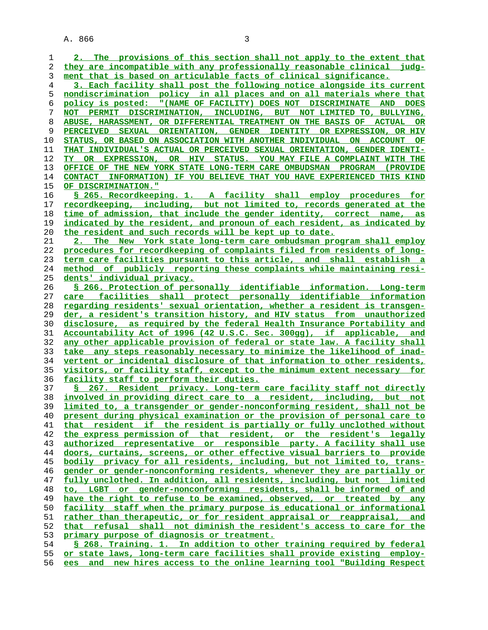A. 866 3

**2. The provisions of this section shall not apply to the extent that they are incompatible with any professionally reasonable clinical judg- ment that is based on articulable facts of clinical significance. 3. Each facility shall post the following notice alongside its current nondiscrimination policy in all places and on all materials where that policy is posted: "(NAME OF FACILITY) DOES NOT DISCRIMINATE AND DOES NOT PERMIT DISCRIMINATION, INCLUDING, BUT NOT LIMITED TO, BULLYING, ABUSE, HARASSMENT, OR DIFFERENTIAL TREATMENT ON THE BASIS OF ACTUAL OR PERCEIVED SEXUAL ORIENTATION, GENDER IDENTITY OR EXPRESSION, OR HIV STATUS, OR BASED ON ASSOCIATION WITH ANOTHER INDIVIDUAL ON ACCOUNT OF THAT INDIVIDUAL'S ACTUAL OR PERCEIVED SEXUAL ORIENTATION, GENDER IDENTI- TY OR EXPRESSION, OR HIV STATUS. YOU MAY FILE A COMPLAINT WITH THE OFFICE OF THE NEW YORK STATE LONG-TERM CARE OMBUDSMAN PROGRAM (PROVIDE CONTACT INFORMATION) IF YOU BELIEVE THAT YOU HAVE EXPERIENCED THIS KIND OF DISCRIMINATION." § 265. Recordkeeping. 1. A facility shall employ procedures for recordkeeping, including, but not limited to, records generated at the time of admission, that include the gender identity, correct name, as indicated by the resident, and pronoun of each resident, as indicated by the resident and such records will be kept up to date. 2. The New York state long-term care ombudsman program shall employ procedures for recordkeeping of complaints filed from residents of long- term care facilities pursuant to this article, and shall establish a method of publicly reporting these complaints while maintaining resi- dents' individual privacy. § 266. Protection of personally identifiable information. Long-term care facilities shall protect personally identifiable information regarding residents' sexual orientation, whether a resident is transgen- der, a resident's transition history, and HIV status from unauthorized disclosure, as required by the federal Health Insurance Portability and Accountability Act of 1996 (42 U.S.C. Sec. 300gg), if applicable, and any other applicable provision of federal or state law. A facility shall take any steps reasonably necessary to minimize the likelihood of inad- vertent or incidental disclosure of that information to other residents, visitors, or facility staff, except to the minimum extent necessary for facility staff to perform their duties. § 267. Resident privacy. Long-term care facility staff not directly involved in providing direct care to a resident, including, but not limited to, a transgender or gender-nonconforming resident, shall not be present during physical examination or the provision of personal care to that resident if the resident is partially or fully unclothed without the express permission of that resident, or the resident's legally authorized representative or responsible party. A facility shall use doors, curtains, screens, or other effective visual barriers to provide bodily privacy for all residents, including, but not limited to, trans- gender or gender-nonconforming residents, whenever they are partially or fully unclothed. In addition, all residents, including, but not limited to, LGBT or gender-nonconforming residents, shall be informed of and have the right to refuse to be examined, observed, or treated by any facility staff when the primary purpose is educational or informational rather than therapeutic, or for resident appraisal or reappraisal, and that refusal shall not diminish the resident's access to care for the primary purpose of diagnosis or treatment. § 268. Training. 1. In addition to other training required by federal or state laws, long-term care facilities shall provide existing employ- ees and new hires access to the online learning tool "Building Respect**